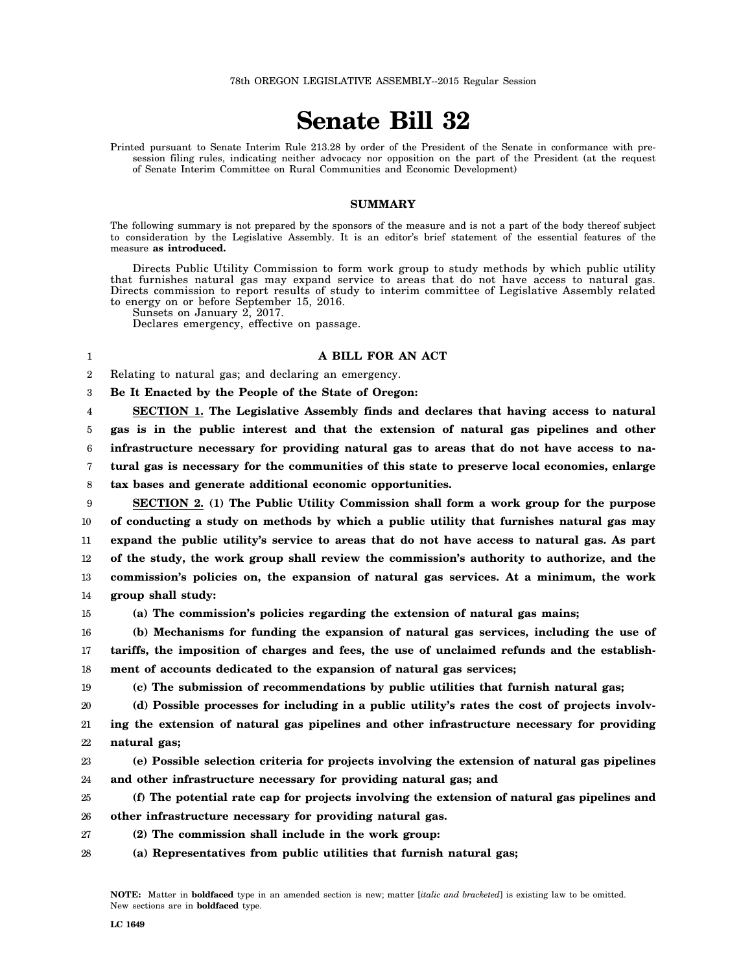## **Senate Bill 32**

Printed pursuant to Senate Interim Rule 213.28 by order of the President of the Senate in conformance with presession filing rules, indicating neither advocacy nor opposition on the part of the President (at the request of Senate Interim Committee on Rural Communities and Economic Development)

## **SUMMARY**

The following summary is not prepared by the sponsors of the measure and is not a part of the body thereof subject to consideration by the Legislative Assembly. It is an editor's brief statement of the essential features of the measure **as introduced.**

Directs Public Utility Commission to form work group to study methods by which public utility that furnishes natural gas may expand service to areas that do not have access to natural gas. Directs commission to report results of study to interim committee of Legislative Assembly related to energy on or before September 15, 2016.

Sunsets on January 2, 2017.

Declares emergency, effective on passage.

## **A BILL FOR AN ACT**

2 Relating to natural gas; and declaring an emergency.

3 **Be It Enacted by the People of the State of Oregon:**

4 5 6 7 **SECTION 1. The Legislative Assembly finds and declares that having access to natural gas is in the public interest and that the extension of natural gas pipelines and other infrastructure necessary for providing natural gas to areas that do not have access to natural gas is necessary for the communities of this state to preserve local economies, enlarge**

8 **tax bases and generate additional economic opportunities.**

9 10 11 12 13 14 **SECTION 2. (1) The Public Utility Commission shall form a work group for the purpose of conducting a study on methods by which a public utility that furnishes natural gas may expand the public utility's service to areas that do not have access to natural gas. As part of the study, the work group shall review the commission's authority to authorize, and the commission's policies on, the expansion of natural gas services. At a minimum, the work group shall study:**

15

20

1

## **(a) The commission's policies regarding the extension of natural gas mains;**

16 17 18 **(b) Mechanisms for funding the expansion of natural gas services, including the use of tariffs, the imposition of charges and fees, the use of unclaimed refunds and the establishment of accounts dedicated to the expansion of natural gas services;**

19

**(c) The submission of recommendations by public utilities that furnish natural gas;**

**(d) Possible processes for including in a public utility's rates the cost of projects involv-**

- 21 22 **ing the extension of natural gas pipelines and other infrastructure necessary for providing natural gas;**
- 23 24 **(e) Possible selection criteria for projects involving the extension of natural gas pipelines and other infrastructure necessary for providing natural gas; and**
- 25 26 **(f) The potential rate cap for projects involving the extension of natural gas pipelines and other infrastructure necessary for providing natural gas.**
- 27 **(2) The commission shall include in the work group:**
- 28 **(a) Representatives from public utilities that furnish natural gas;**